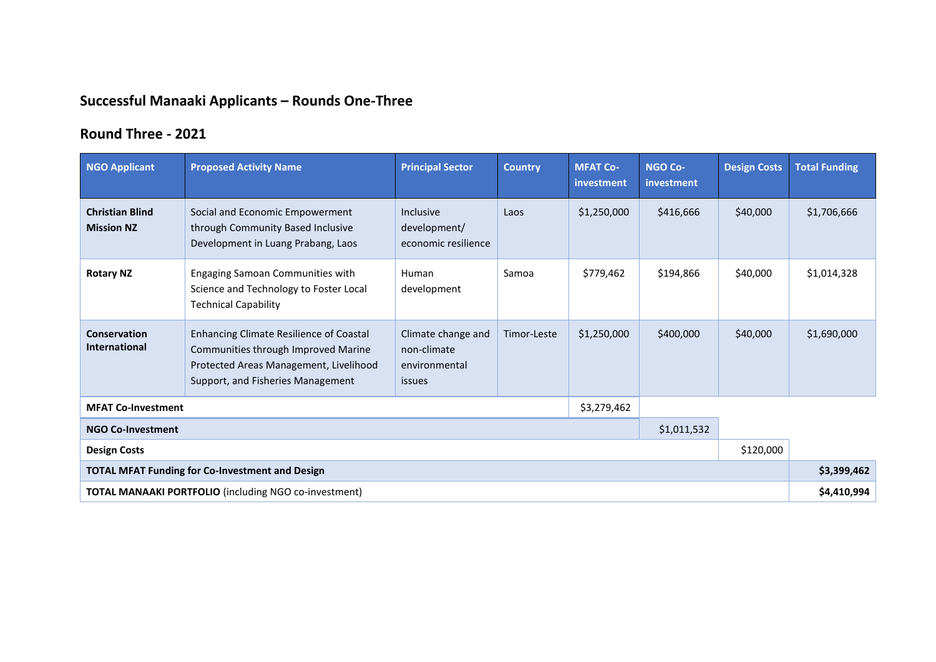## **Successful Manaaki Applicants – Rounds One-Three**

## **Round Three - 2021**

| <b>NGO Applicant</b>                                         | <b>Proposed Activity Name</b>                                                                                                                                        | <b>Principal Sector</b>                                      | <b>Country</b> | <b>MFAT Co-</b><br>investment | <b>NGO Co-</b><br>investment | <b>Design Costs</b> | <b>Total Funding</b> |
|--------------------------------------------------------------|----------------------------------------------------------------------------------------------------------------------------------------------------------------------|--------------------------------------------------------------|----------------|-------------------------------|------------------------------|---------------------|----------------------|
| <b>Christian Blind</b><br><b>Mission NZ</b>                  | Social and Economic Empowerment<br>through Community Based Inclusive<br>Development in Luang Prabang, Laos                                                           | Inclusive<br>development/<br>economic resilience             | Laos           | \$1,250,000                   | \$416,666                    | \$40,000            | \$1,706,666          |
| <b>Rotary NZ</b>                                             | Engaging Samoan Communities with<br>Science and Technology to Foster Local<br><b>Technical Capability</b>                                                            | Human<br>development                                         | Samoa          | \$779,462                     | \$194,866                    | \$40,000            | \$1,014,328          |
| <b>Conservation</b><br><b>International</b>                  | <b>Enhancing Climate Resilience of Coastal</b><br>Communities through Improved Marine<br>Protected Areas Management, Livelihood<br>Support, and Fisheries Management | Climate change and<br>non-climate<br>environmental<br>issues | Timor-Leste    | \$1,250,000                   | \$400,000                    | \$40,000            | \$1,690,000          |
| \$3,279,462<br><b>MFAT Co-Investment</b>                     |                                                                                                                                                                      |                                                              |                |                               |                              |                     |                      |
| \$1,011,532<br><b>NGO Co-Investment</b>                      |                                                                                                                                                                      |                                                              |                |                               |                              |                     |                      |
| \$120,000<br><b>Design Costs</b>                             |                                                                                                                                                                      |                                                              |                |                               |                              |                     |                      |
| <b>TOTAL MFAT Funding for Co-Investment and Design</b>       |                                                                                                                                                                      |                                                              |                |                               |                              |                     | \$3,399,462          |
| <b>TOTAL MANAAKI PORTFOLIO</b> (including NGO co-investment) |                                                                                                                                                                      |                                                              |                |                               |                              |                     | \$4,410,994          |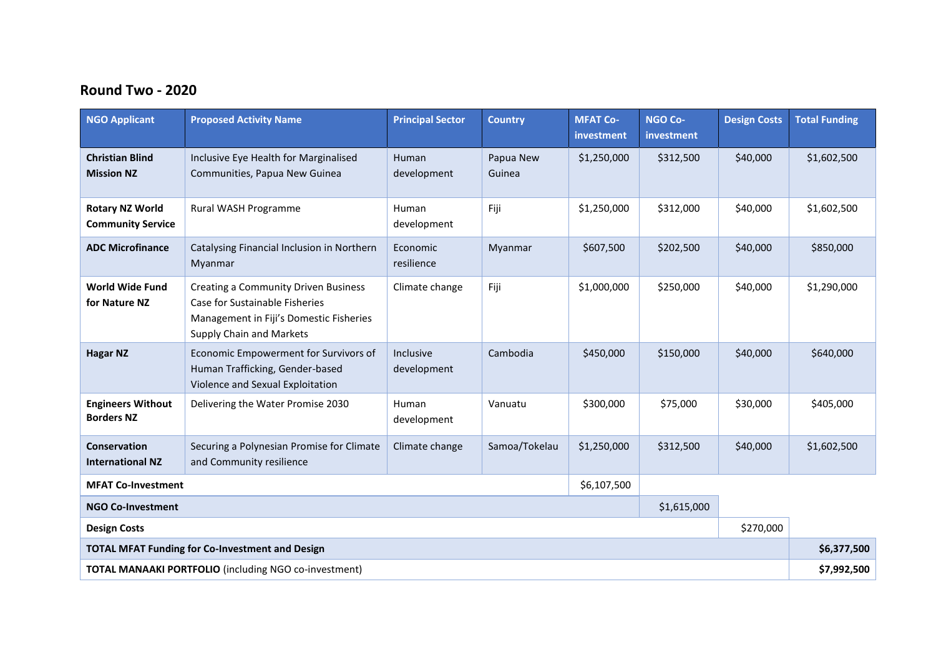## **Round Two - 2020**

| <b>NGO Applicant</b>                                         | <b>Proposed Activity Name</b>                                                                                                                        | <b>Principal Sector</b>  | <b>Country</b>      | <b>MFAT Co-</b><br>investment | <b>NGO Co-</b><br>investment | <b>Design Costs</b> | <b>Total Funding</b> |
|--------------------------------------------------------------|------------------------------------------------------------------------------------------------------------------------------------------------------|--------------------------|---------------------|-------------------------------|------------------------------|---------------------|----------------------|
| <b>Christian Blind</b><br><b>Mission NZ</b>                  | Inclusive Eye Health for Marginalised<br>Communities, Papua New Guinea                                                                               | Human<br>development     | Papua New<br>Guinea | \$1,250,000                   | \$312,500                    | \$40,000            | \$1,602,500          |
| <b>Rotary NZ World</b><br><b>Community Service</b>           | Rural WASH Programme                                                                                                                                 | Human<br>development     | Fiji                | \$1,250,000                   | \$312,000                    | \$40,000            | \$1,602,500          |
| <b>ADC Microfinance</b>                                      | Catalysing Financial Inclusion in Northern<br>Myanmar                                                                                                | Economic<br>resilience   | Myanmar             | \$607,500                     | \$202,500                    | \$40,000            | \$850,000            |
| <b>World Wide Fund</b><br>for Nature NZ                      | <b>Creating a Community Driven Business</b><br>Case for Sustainable Fisheries<br>Management in Fiji's Domestic Fisheries<br>Supply Chain and Markets | Climate change           | Fiji                | \$1,000,000                   | \$250,000                    | \$40,000            | \$1,290,000          |
| <b>Hagar NZ</b>                                              | Economic Empowerment for Survivors of<br>Human Trafficking, Gender-based<br>Violence and Sexual Exploitation                                         | Inclusive<br>development | Cambodia            | \$450,000                     | \$150,000                    | \$40,000            | \$640,000            |
| <b>Engineers Without</b><br><b>Borders NZ</b>                | Delivering the Water Promise 2030                                                                                                                    | Human<br>development     | Vanuatu             | \$300,000                     | \$75,000                     | \$30,000            | \$405,000            |
| Conservation<br><b>International NZ</b>                      | Securing a Polynesian Promise for Climate<br>and Community resilience                                                                                | Climate change           | Samoa/Tokelau       | \$1,250,000                   | \$312,500                    | \$40,000            | \$1,602,500          |
| \$6,107,500<br><b>MFAT Co-Investment</b>                     |                                                                                                                                                      |                          |                     |                               |                              |                     |                      |
| \$1,615,000<br><b>NGO Co-Investment</b>                      |                                                                                                                                                      |                          |                     |                               |                              |                     |                      |
| \$270,000<br><b>Design Costs</b>                             |                                                                                                                                                      |                          |                     |                               |                              |                     |                      |
| <b>TOTAL MFAT Funding for Co-Investment and Design</b>       |                                                                                                                                                      |                          |                     |                               |                              |                     | \$6,377,500          |
| <b>TOTAL MANAAKI PORTFOLIO</b> (including NGO co-investment) |                                                                                                                                                      |                          |                     |                               |                              |                     | \$7,992,500          |